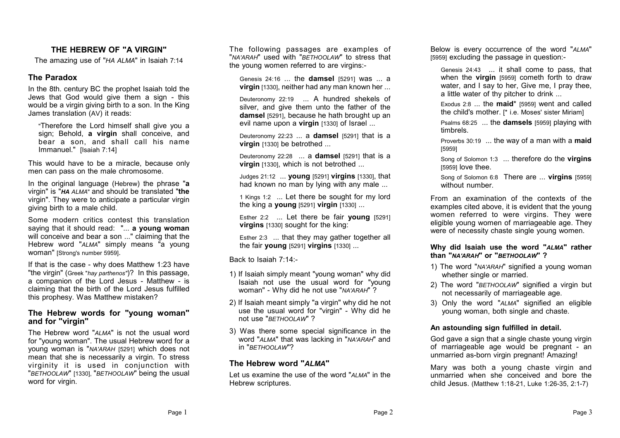#### **THE HEBREW OF "A VIRGIN"**

The amazing use of "*HA ALMA*" in Isaiah 7:14

#### **The Paradox**

In the 8th. century BC the prophet Isaiah told the Jews that God would give them a sign - this would be a virgin giving birth to a son. In the King James translation (AV) it reads:

"Therefore the Lord himself shall give you a sign; Behold, **a virgin** shall conceive, and bear a son, and shall call his name Immanuel." [Isaiah 7:14]

This would have to be a miracle, because only men can pass on the male chromosome.

In the original language (Hebrew) the phrase "**a** virgin" is "*HA ALMA*" and should be translated "**the** virgin". They were to anticipate a particular virgin giving birth to a male child.

Some modern critics contest this translation saying that it should read: "... **a young woman** will conceive and bear a son ..." claiming that the Hebrew word "*ALMA*" simply means "a young woman" [Strong's number 5959].

If that is the case - why does Matthew 1:23 have "the virgin" (Greek "*hay parthenos"*)? In this passage, a companion of the Lord Jesus - Matthew - is claiming that the birth of the Lord Jesus fulfilled this prophesy. Was Matthew mistaken?

#### **The Hebrew words for "young woman" and for "virgin"**

The Hebrew word "*ALMA*" is not the usual word for "young woman". The usual Hebrew word for a young woman is "*NA'ARAH* [5291] which does not mean that she is necessarily a virgin. To stress virginity it is used in conjunction with "*BETHOOLAW*" [1330], "*BETHOOLAW*" being the usual word for virgin.

The following passages are examples of "*NA'ARAH*" used with "*BETHOOLAW*" to stress that the young women referred to are virgins:-

Genesis 24:16 ... the **damsel** [5291] was ... a **virgin** [1330], neither had any man known her ...

Deuteronomy 22:19 ... A hundred shekels of silver, and give them unto the father of the **damsel** [5291], because he hath brought up an evil name upon a **virgin** [1330] of Israel ...

Deuteronomy 22:23 ... a **damsel** [5291] that is a **virgin** [1330] be betrothed ...

Deuteronomy 22:28 ... a **damsel** [5291] that is a **virgin** [1330], which is not betrothed ...

Judges 21:12 ... **young** [5291] **virgins** [1330], that had known no man by lying with any male ...

1 Kings 1:2 ... Let there be sought for my lord the king a **young** [5291] **virgin** [1330] ...

Esther 2:2 ... Let there be fair **young** [5291] **virgins** [1330] sought for the king:

Esther 2:3 ... that they may gather together all the fair **young** [5291] **virgins** [1330] ...

Back to Isaiah 7:14:-

- 1) If Isaiah simply meant "young woman" why did Isaiah not use the usual word for "young woman" - Why did he not use "*NA'ARAH*" ?
- 2) If Isaiah meant simply "a virgin" why did he not use the usual word for "virgin" - Why did he not use "*BETHOOLAW*" ?
- 3) Was there some special significance in the word "*ALMA*" that was lacking in "*NA'ARAH*" and in "*BETHOOLAW*"?

#### **The Hebrew word "***ALMA***"**

Let us examine the use of the word "*ALMA*" in the Hebrew scriptures.

Below is every occurrence of the word "*ALMA*" [5959] excluding the passage in question:-

Genesis 24:43 ... it shall come to pass, that when the **virgin** [5959] cometh forth to draw water, and I say to her, Give me, I pray thee, a little water of thy pitcher to drink ...

Exodus 2:8 ... the **maid**\* [5959] went and called the child's mother. [\* i.e. Moses' sister Miriam]

Psalms 68:25 ... the **damsels** [5959] playing with timbrels.

Proverbs 30:19 ... the way of a man with a **maid** [5959]

Song of Solomon 1:3 ... therefore do the **virgins** [5959] love thee.

Song of Solomon 6:8 There are ... **virgins** [5959] without number

From an examination of the contexts of the examples cited above, it is evident that the young women referred to were virgins. They were eligible young women of marriageable age. They were of necessity chaste single young women.

**Why did Isaiah use the word "***ALMA***" rather than "***NA'ARAH***" or "***BETHOOLAW***" ?**

- 1) The word "*NA'ARAH*" signified a young woman whether single or married.
- 2) The word "*BETHOOLAW*" signified a virgin but not necessarily of marriageable age.
- 3) Only the word "*ALMA*" signified an eligible young woman, both single and chaste.

#### **An astounding sign fulfilled in detail.**

God gave a sign that a single chaste young virgin of marriageable age would be pregnant - an unmarried as-born virgin pregnant! Amazing!

Mary was both a young chaste virgin and unmarried when she conceived and bore the child Jesus. (Matthew 1:18-21, Luke 1:26-35, 2:1-7)